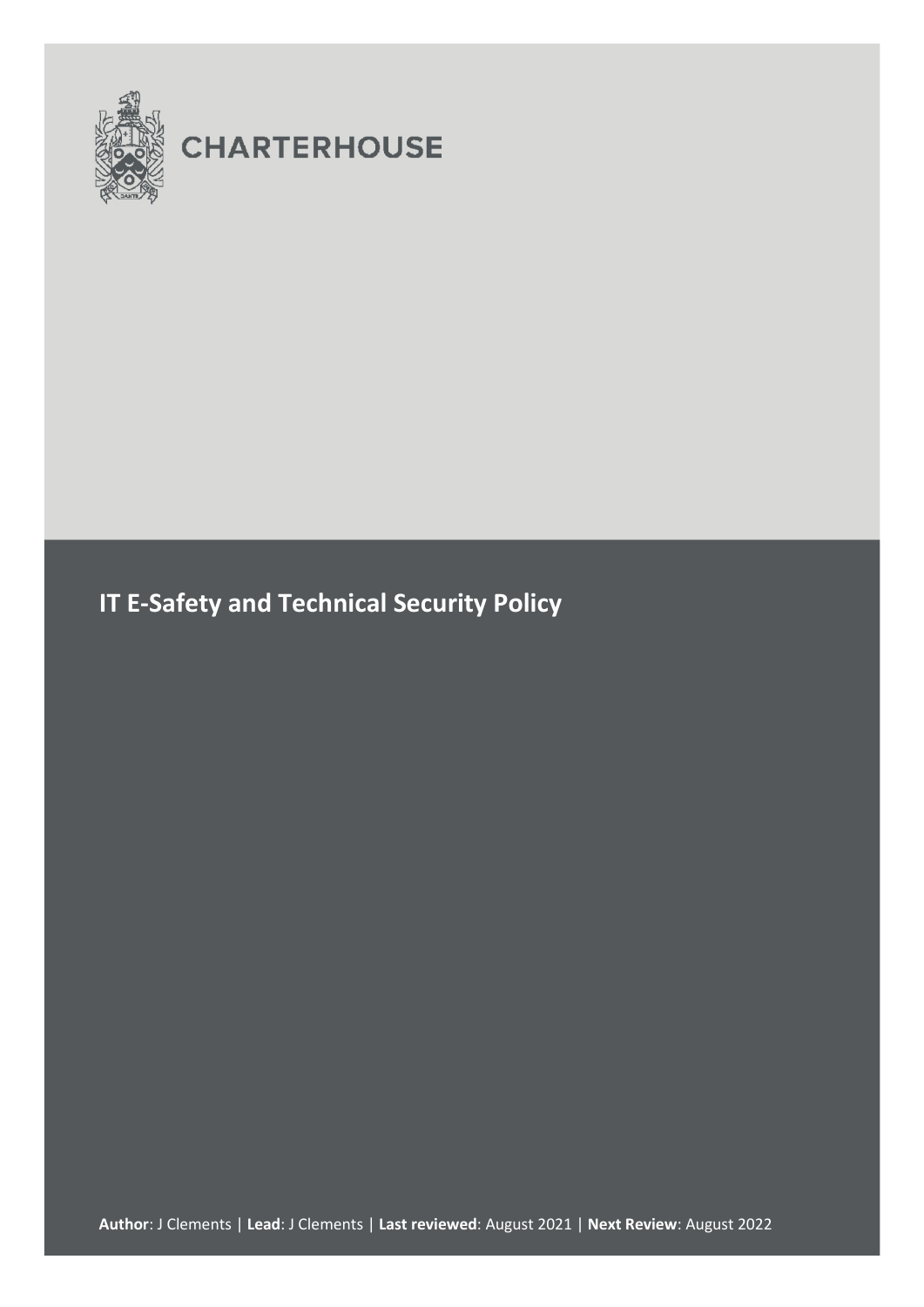

# **CHARTERHOUSE**

# **IT E-Safety and Technical Security Policy**

**Author**: J Clements | **Lead**: J Clements | **Last reviewed**: August 2021 | **Next Review**: August 2022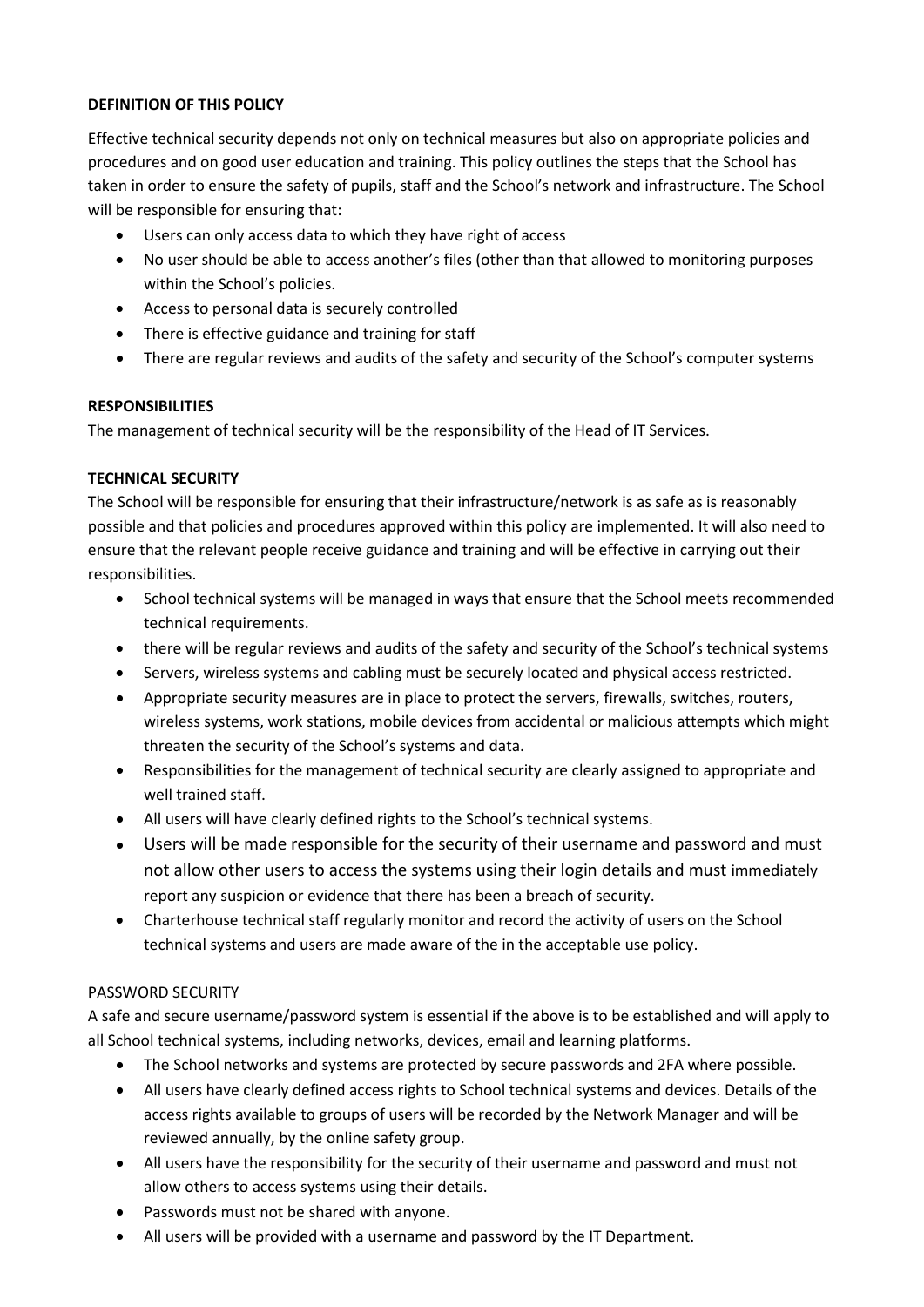## **DEFINITION OF THIS POLICY**

Effective technical security depends not only on technical measures but also on appropriate policies and procedures and on good user education and training. This policy outlines the steps that the School has taken in order to ensure the safety of pupils, staff and the School's network and infrastructure. The School will be responsible for ensuring that:

- Users can only access data to which they have right of access
- No user should be able to access another's files (other than that allowed to monitoring purposes within the School's policies.
- Access to personal data is securely controlled
- There is effective guidance and training for staff
- There are regular reviews and audits of the safety and security of the School's computer systems

## **RESPONSIBILITIES**

The management of technical security will be the responsibility of the Head of IT Services.

## **TECHNICAL SECURITY**

The School will be responsible for ensuring that their infrastructure/network is as safe as is reasonably possible and that policies and procedures approved within this policy are implemented. It will also need to ensure that the relevant people receive guidance and training and will be effective in carrying out their responsibilities.

- School technical systems will be managed in ways that ensure that the School meets recommended technical requirements.
- there will be regular reviews and audits of the safety and security of the School's technical systems
- Servers, wireless systems and cabling must be securely located and physical access restricted.
- Appropriate security measures are in place to protect the servers, firewalls, switches, routers, wireless systems, work stations, mobile devices from accidental or malicious attempts which might threaten the security of the School's systems and data.
- Responsibilities for the management of technical security are clearly assigned to appropriate and well trained staff.
- All users will have clearly defined rights to the School's technical systems.
- Users will be made responsible for the security of their username and password and must not allow other users to access the systems using their login details and must immediately report any suspicion or evidence that there has been a breach of security.
- Charterhouse technical staff regularly monitor and record the activity of users on the School technical systems and users are made aware of the in the acceptable use policy.

## PASSWORD SECURITY

A safe and secure username/password system is essential if the above is to be established and will apply to all School technical systems, including networks, devices, email and learning platforms.

- The School networks and systems are protected by secure passwords and 2FA where possible.
- All users have clearly defined access rights to School technical systems and devices. Details of the access rights available to groups of users will be recorded by the Network Manager and will be reviewed annually, by the online safety group.
- All users have the responsibility for the security of their username and password and must not allow others to access systems using their details.
- Passwords must not be shared with anyone.
- All users will be provided with a username and password by the IT Department.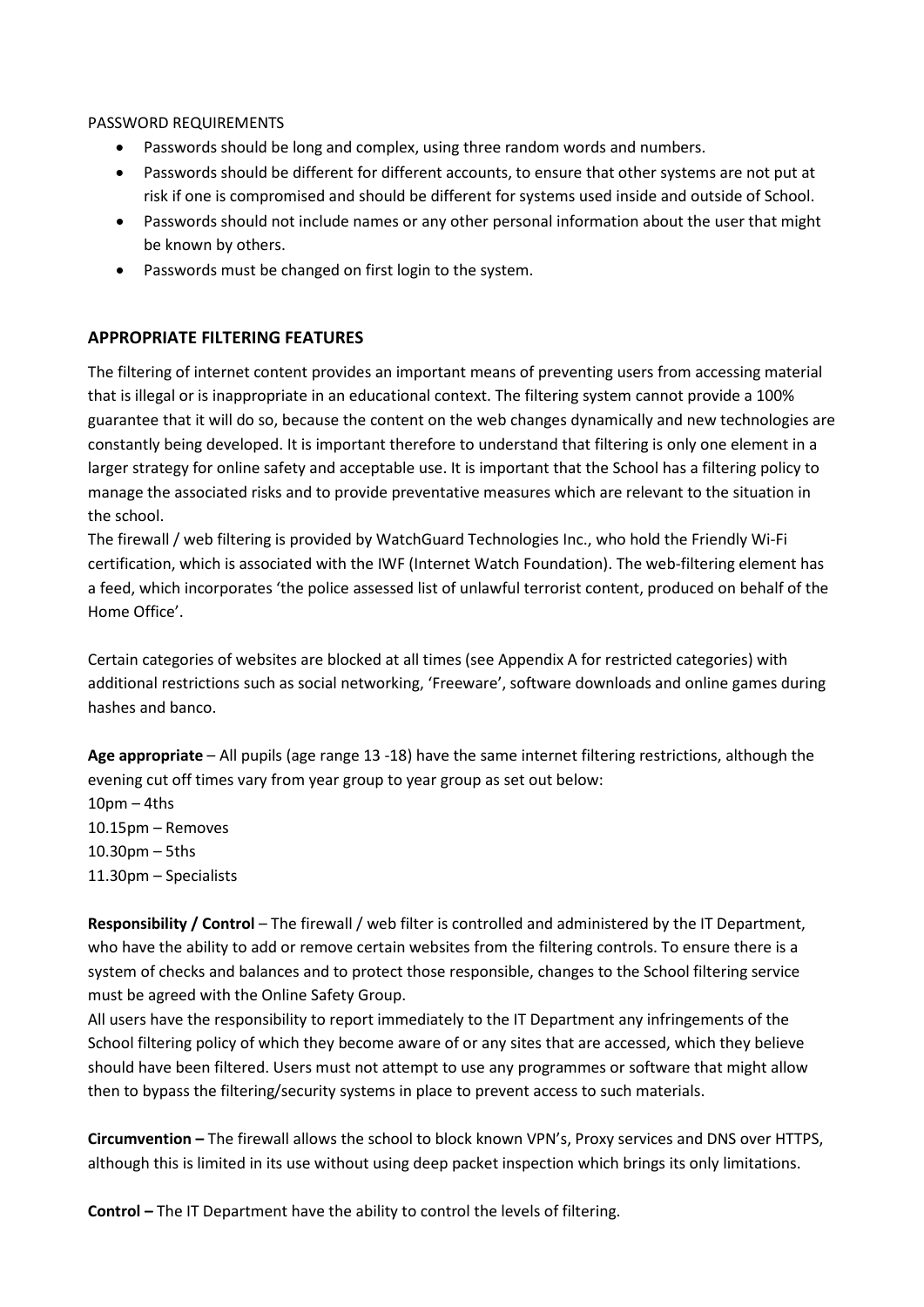#### PASSWORD REQUIREMENTS

- Passwords should be long and complex, using three random words and numbers.
- Passwords should be different for different accounts, to ensure that other systems are not put at risk if one is compromised and should be different for systems used inside and outside of School.
- Passwords should not include names or any other personal information about the user that might be known by others.
- Passwords must be changed on first login to the system.

## **APPROPRIATE FILTERING FEATURES**

The filtering of internet content provides an important means of preventing users from accessing material that is illegal or is inappropriate in an educational context. The filtering system cannot provide a 100% guarantee that it will do so, because the content on the web changes dynamically and new technologies are constantly being developed. It is important therefore to understand that filtering is only one element in a larger strategy for online safety and acceptable use. It is important that the School has a filtering policy to manage the associated risks and to provide preventative measures which are relevant to the situation in the school.

The firewall / web filtering is provided by WatchGuard Technologies Inc., who hold the Friendly Wi-Fi certification, which is associated with the IWF (Internet Watch Foundation). The web-filtering element has a feed, which incorporates 'the police assessed list of unlawful terrorist content, produced on behalf of the Home Office'.

Certain categories of websites are blocked at all times (see Appendix A for restricted categories) with additional restrictions such as social networking, 'Freeware', software downloads and online games during hashes and banco.

**Age appropriate** – All pupils (age range 13 -18) have the same internet filtering restrictions, although the evening cut off times vary from year group to year group as set out below:  $10<sub>pm</sub> - 4<sub>ths</sub>$ 10.15pm – Removes 10.30pm – 5ths 11.30pm – Specialists

**Responsibility / Control** – The firewall / web filter is controlled and administered by the IT Department, who have the ability to add or remove certain websites from the filtering controls. To ensure there is a system of checks and balances and to protect those responsible, changes to the School filtering service must be agreed with the Online Safety Group.

All users have the responsibility to report immediately to the IT Department any infringements of the School filtering policy of which they become aware of or any sites that are accessed, which they believe should have been filtered. Users must not attempt to use any programmes or software that might allow then to bypass the filtering/security systems in place to prevent access to such materials.

**Circumvention –** The firewall allows the school to block known VPN's, Proxy services and DNS over HTTPS, although this is limited in its use without using deep packet inspection which brings its only limitations.

**Control –** The IT Department have the ability to control the levels of filtering.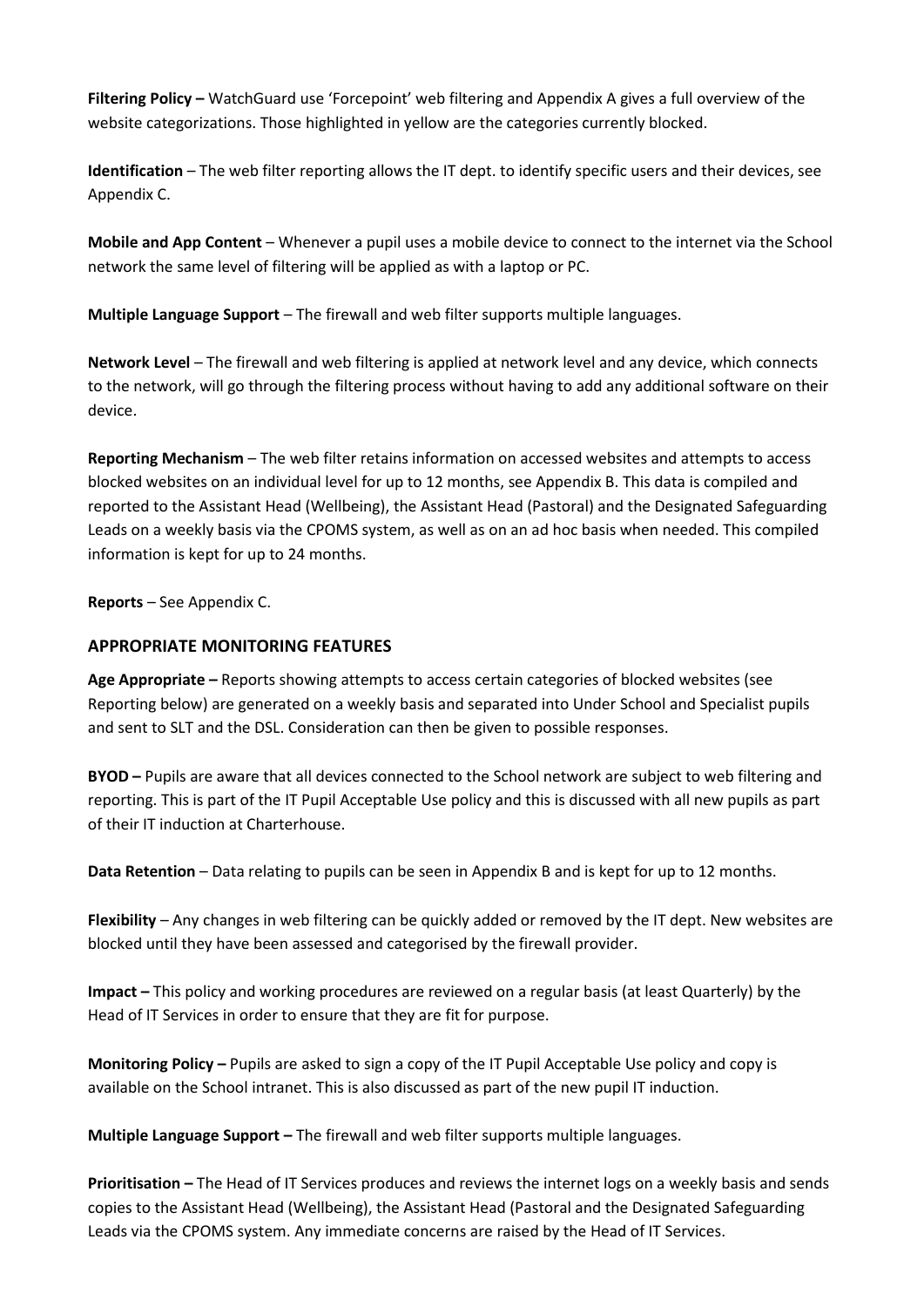**Filtering Policy –** WatchGuard use 'Forcepoint' web filtering and Appendix A gives a full overview of the website categorizations. Those highlighted in yellow are the categories currently blocked.

**Identification** – The web filter reporting allows the IT dept. to identify specific users and their devices, see Appendix C.

**Mobile and App Content** – Whenever a pupil uses a mobile device to connect to the internet via the School network the same level of filtering will be applied as with a laptop or PC.

**Multiple Language Support** – The firewall and web filter supports multiple languages.

**Network Level** – The firewall and web filtering is applied at network level and any device, which connects to the network, will go through the filtering process without having to add any additional software on their device.

**Reporting Mechanism** – The web filter retains information on accessed websites and attempts to access blocked websites on an individual level for up to 12 months, see Appendix B. This data is compiled and reported to the Assistant Head (Wellbeing), the Assistant Head (Pastoral) and the Designated Safeguarding Leads on a weekly basis via the CPOMS system, as well as on an ad hoc basis when needed. This compiled information is kept for up to 24 months.

**Reports** – See Appendix C.

## **APPROPRIATE MONITORING FEATURES**

**Age Appropriate –** Reports showing attempts to access certain categories of blocked websites (see Reporting below) are generated on a weekly basis and separated into Under School and Specialist pupils and sent to SLT and the DSL. Consideration can then be given to possible responses.

**BYOD –** Pupils are aware that all devices connected to the School network are subject to web filtering and reporting. This is part of the IT Pupil Acceptable Use policy and this is discussed with all new pupils as part of their IT induction at Charterhouse.

**Data Retention** – Data relating to pupils can be seen in Appendix B and is kept for up to 12 months.

**Flexibility** – Any changes in web filtering can be quickly added or removed by the IT dept. New websites are blocked until they have been assessed and categorised by the firewall provider.

**Impact –** This policy and working procedures are reviewed on a regular basis (at least Quarterly) by the Head of IT Services in order to ensure that they are fit for purpose.

**Monitoring Policy –** Pupils are asked to sign a copy of the IT Pupil Acceptable Use policy and copy is available on the School intranet. This is also discussed as part of the new pupil IT induction.

**Multiple Language Support –** The firewall and web filter supports multiple languages.

**Prioritisation –** The Head of IT Services produces and reviews the internet logs on a weekly basis and sends copies to the Assistant Head (Wellbeing), the Assistant Head (Pastoral and the Designated Safeguarding Leads via the CPOMS system. Any immediate concerns are raised by the Head of IT Services.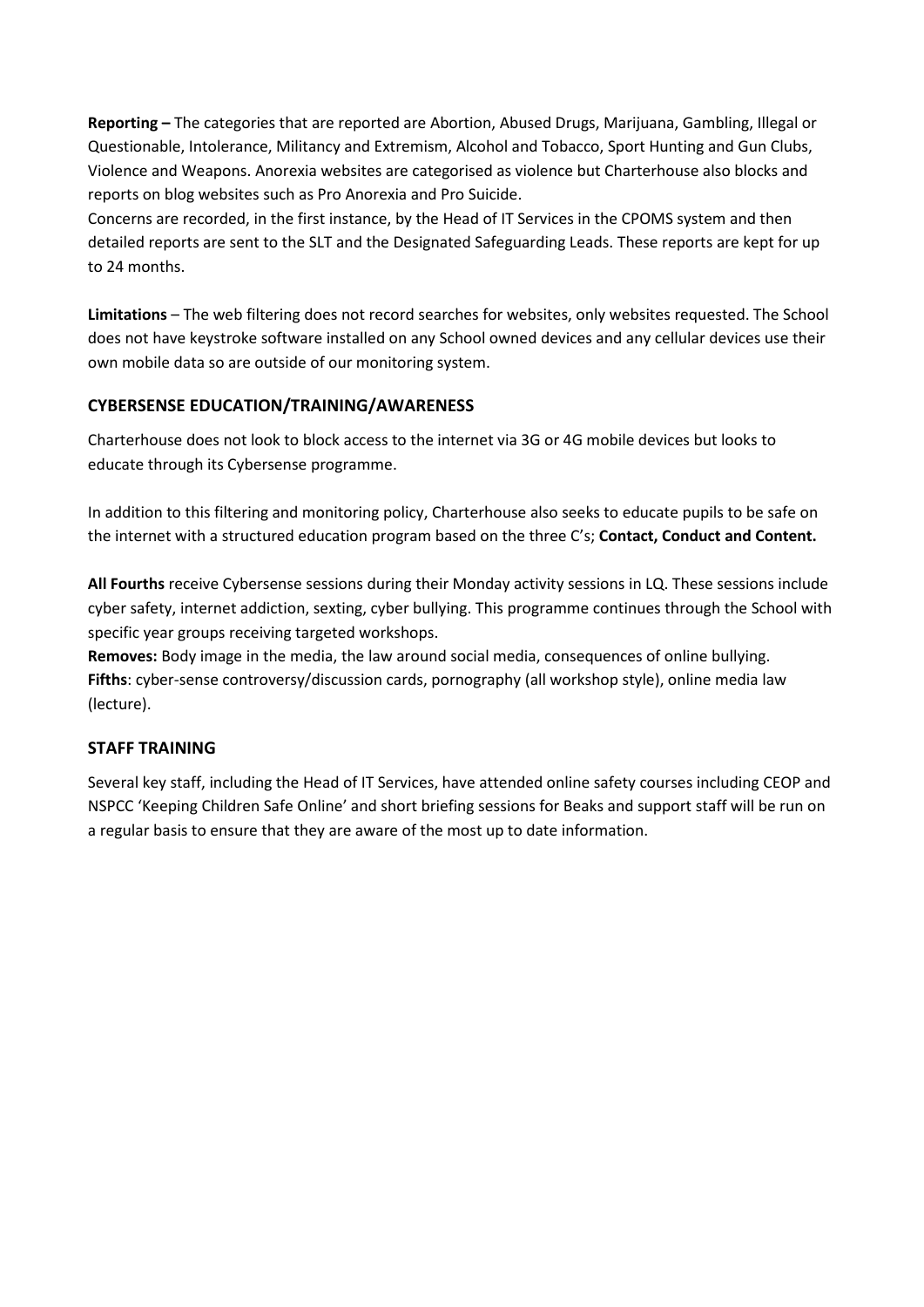**Reporting –** The categories that are reported are Abortion, Abused Drugs, Marijuana, Gambling, Illegal or Questionable, Intolerance, Militancy and Extremism, Alcohol and Tobacco, Sport Hunting and Gun Clubs, Violence and Weapons. Anorexia websites are categorised as violence but Charterhouse also blocks and reports on blog websites such as Pro Anorexia and Pro Suicide.

Concerns are recorded, in the first instance, by the Head of IT Services in the CPOMS system and then detailed reports are sent to the SLT and the Designated Safeguarding Leads. These reports are kept for up to 24 months.

**Limitations** – The web filtering does not record searches for websites, only websites requested. The School does not have keystroke software installed on any School owned devices and any cellular devices use their own mobile data so are outside of our monitoring system.

## **CYBERSENSE EDUCATION/TRAINING/AWARENESS**

Charterhouse does not look to block access to the internet via 3G or 4G mobile devices but looks to educate through its Cybersense programme.

In addition to this filtering and monitoring policy, Charterhouse also seeks to educate pupils to be safe on the internet with a structured education program based on the three C's; **Contact, Conduct and Content.**

**All Fourths** receive Cybersense sessions during their Monday activity sessions in LQ. These sessions include cyber safety, internet addiction, sexting, cyber bullying. This programme continues through the School with specific year groups receiving targeted workshops.

**Removes:** Body image in the media, the law around social media, consequences of online bullying. **Fifths**: cyber-sense controversy/discussion cards, pornography (all workshop style), online media law (lecture).

## **STAFF TRAINING**

Several key staff, including the Head of IT Services, have attended online safety courses including CEOP and NSPCC 'Keeping Children Safe Online' and short briefing sessions for Beaks and support staff will be run on a regular basis to ensure that they are aware of the most up to date information.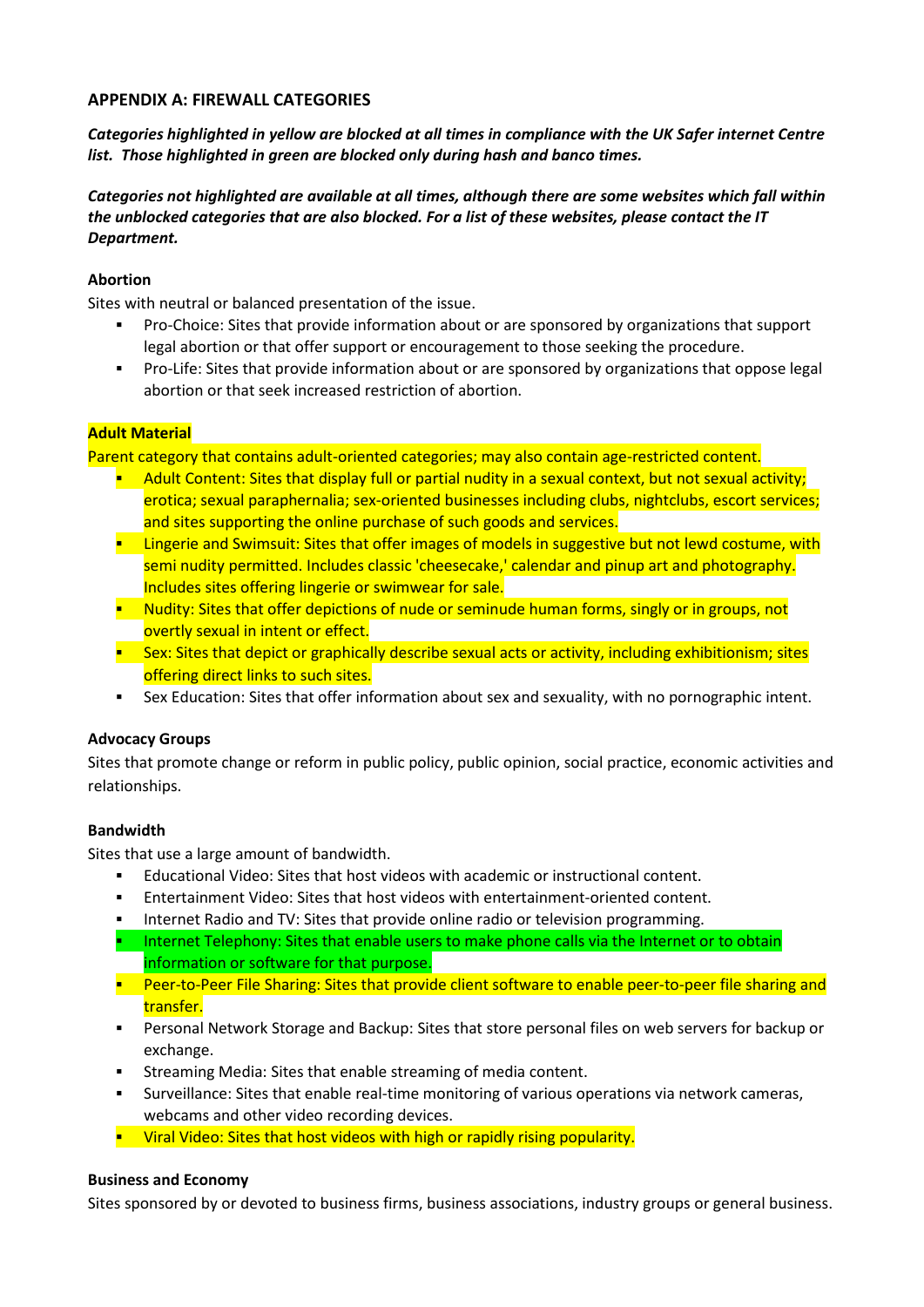## **APPENDIX A: FIREWALL CATEGORIES**

*Categories highlighted in yellow are blocked at all times in compliance with the UK Safer internet Centre list. Those highlighted in green are blocked only during hash and banco times.* 

## *Categories not highlighted are available at all times, although there are some websites which fall within the unblocked categories that are also blocked. For a list of these websites, please contact the IT Department.*

#### **Abortion**

Sites with neutral or balanced presentation of the issue.

- Pro-Choice: Sites that provide information about or are sponsored by organizations that support legal abortion or that offer support or encouragement to those seeking the procedure.
- Pro-Life: Sites that provide information about or are sponsored by organizations that oppose legal abortion or that seek increased restriction of abortion.

#### **Adult Material**

Parent category that contains adult-oriented categories; may also contain age-restricted content.

- **Adult Content: Sites that display full or partial nudity in a sexual context, but not sexual activity;** erotica; sexual paraphernalia; sex-oriented businesses including clubs, nightclubs, escort services; and sites supporting the online purchase of such goods and services.
- **EXECT** Lingerie and Swimsuit: Sites that offer images of models in suggestive but not lewd costume, with semi nudity permitted. Includes classic 'cheesecake,' calendar and pinup art and photography. Includes sites offering lingerie or swimwear for sale.
- **Nudity: Sites that offer depictions of nude or seminude human forms, singly or in groups, not** overtly sexual in intent or effect.
- **Sex:** Sites that depict or graphically describe sexual acts or activity, including exhibitionism; sites offering direct links to such sites.
- Sex Education: Sites that offer information about sex and sexuality, with no pornographic intent.

#### **Advocacy Groups**

Sites that promote change or reform in public policy, public opinion, social practice, economic activities and relationships.

#### **Bandwidth**

Sites that use a large amount of bandwidth.

- Educational Video: Sites that host videos with academic or instructional content.
- Entertainment Video: Sites that host videos with entertainment-oriented content.
- **Internet Radio and TV: Sites that provide online radio or television programming.**
- **Internet Telephony: Sites that enable users to make phone calls via the Internet or to obtain** information or software for that purpose.
- **Peer-to-Peer File Sharing: Sites that provide client software to enable peer-to-peer file sharing and** transfer.
- Personal Network Storage and Backup: Sites that store personal files on web servers for backup or exchange.
- Streaming Media: Sites that enable streaming of media content.
- Surveillance: Sites that enable real-time monitoring of various operations via network cameras, webcams and other video recording devices.
- **•** Viral Video: Sites that host videos with high or rapidly rising popularity.

#### **Business and Economy**

Sites sponsored by or devoted to business firms, business associations, industry groups or general business.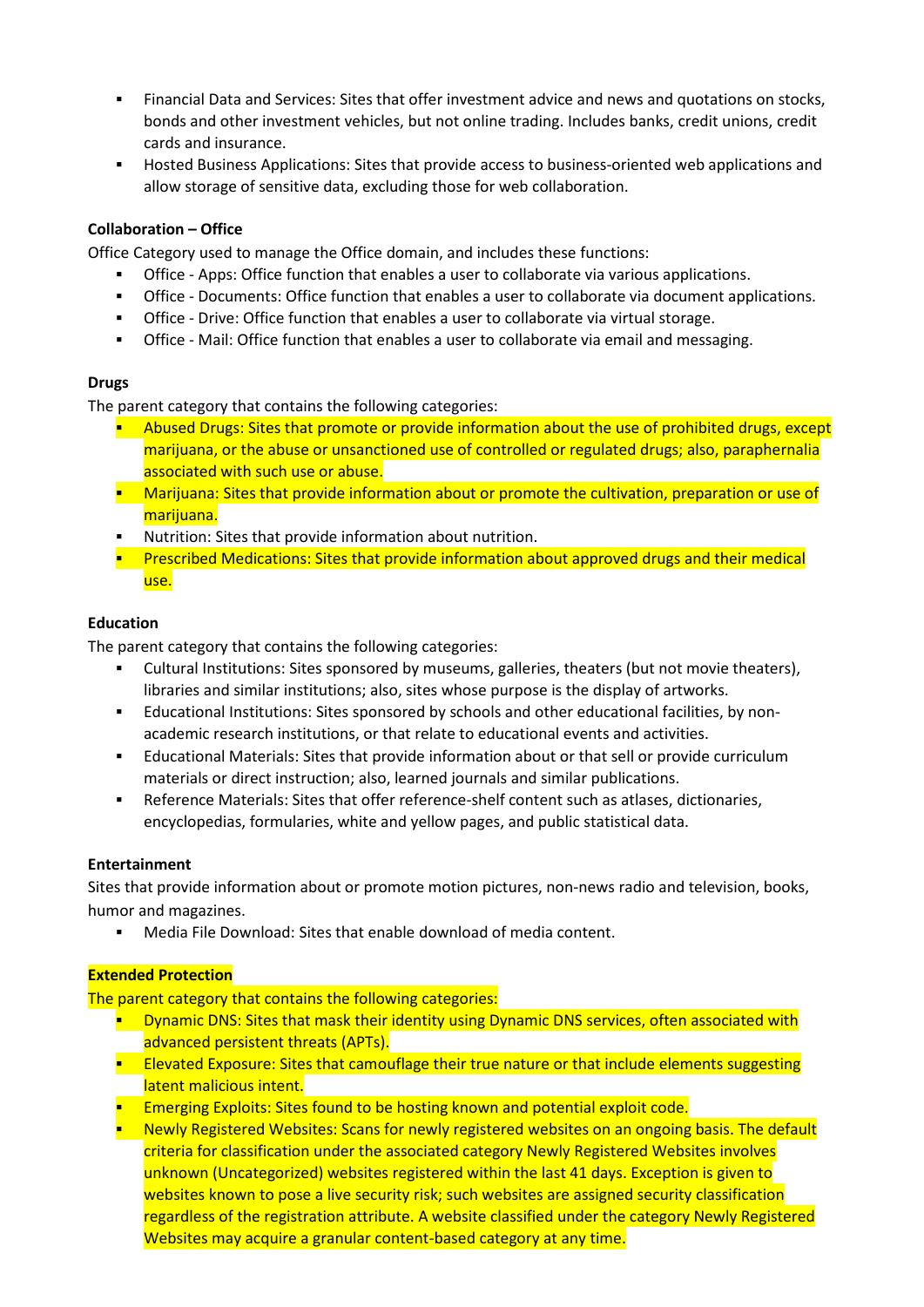- Financial Data and Services: Sites that offer investment advice and news and quotations on stocks, bonds and other investment vehicles, but not online trading. Includes banks, credit unions, credit cards and insurance.
- Hosted Business Applications: Sites that provide access to business-oriented web applications and allow storage of sensitive data, excluding those for web collaboration.

## **Collaboration – Office**

Office Category used to manage the Office domain, and includes these functions:

- Office Apps: Office function that enables a user to collaborate via various applications.
- Office Documents: Office function that enables a user to collaborate via document applications.
- Office Drive: Office function that enables a user to collaborate via virtual storage.
- Office Mail: Office function that enables a user to collaborate via email and messaging.

#### **Drugs**

The parent category that contains the following categories:

- Abused Drugs: Sites that promote or provide information about the use of prohibited drugs, except marijuana, or the abuse or unsanctioned use of controlled or regulated drugs; also, paraphernalia associated with such use or abuse.
- **•** Marijuana: Sites that provide information about or promote the cultivation, preparation or use of marijuana.
- Nutrition: Sites that provide information about nutrition.
- **Prescribed Medications: Sites that provide information about approved drugs and their medical** use.

#### **Education**

The parent category that contains the following categories:

- Cultural Institutions: Sites sponsored by museums, galleries, theaters (but not movie theaters), libraries and similar institutions; also, sites whose purpose is the display of artworks.
- Educational Institutions: Sites sponsored by schools and other educational facilities, by nonacademic research institutions, or that relate to educational events and activities.
- Educational Materials: Sites that provide information about or that sell or provide curriculum materials or direct instruction; also, learned journals and similar publications.
- Reference Materials: Sites that offer reference-shelf content such as atlases, dictionaries, encyclopedias, formularies, white and yellow pages, and public statistical data.

#### **Entertainment**

Sites that provide information about or promote motion pictures, non-news radio and television, books, humor and magazines.

Media File Download: Sites that enable download of media content.

#### **Extended Protection**

The parent category that contains the following categories:

- **Phiative DNS: Sates that mask their identity using Dynamic DNS services, often associated with** advanced persistent threats (APTs).
- **ELEVATED EXPOSUTE: Sites that camouflage their true nature or that include elements suggesting** latent malicious intent.
- **Emerging Exploits: Sites found to be hosting known and potential exploit code.**
- Newly Registered Websites: Scans for newly registered websites on an ongoing basis. The default criteria for classification under the associated category Newly Registered Websites involves unknown (Uncategorized) websites registered within the last 41 days. Exception is given to websites known to pose a live security risk; such websites are assigned security classification regardless of the registration attribute. A website classified under the category Newly Registered Websites may acquire a granular content-based category at any time.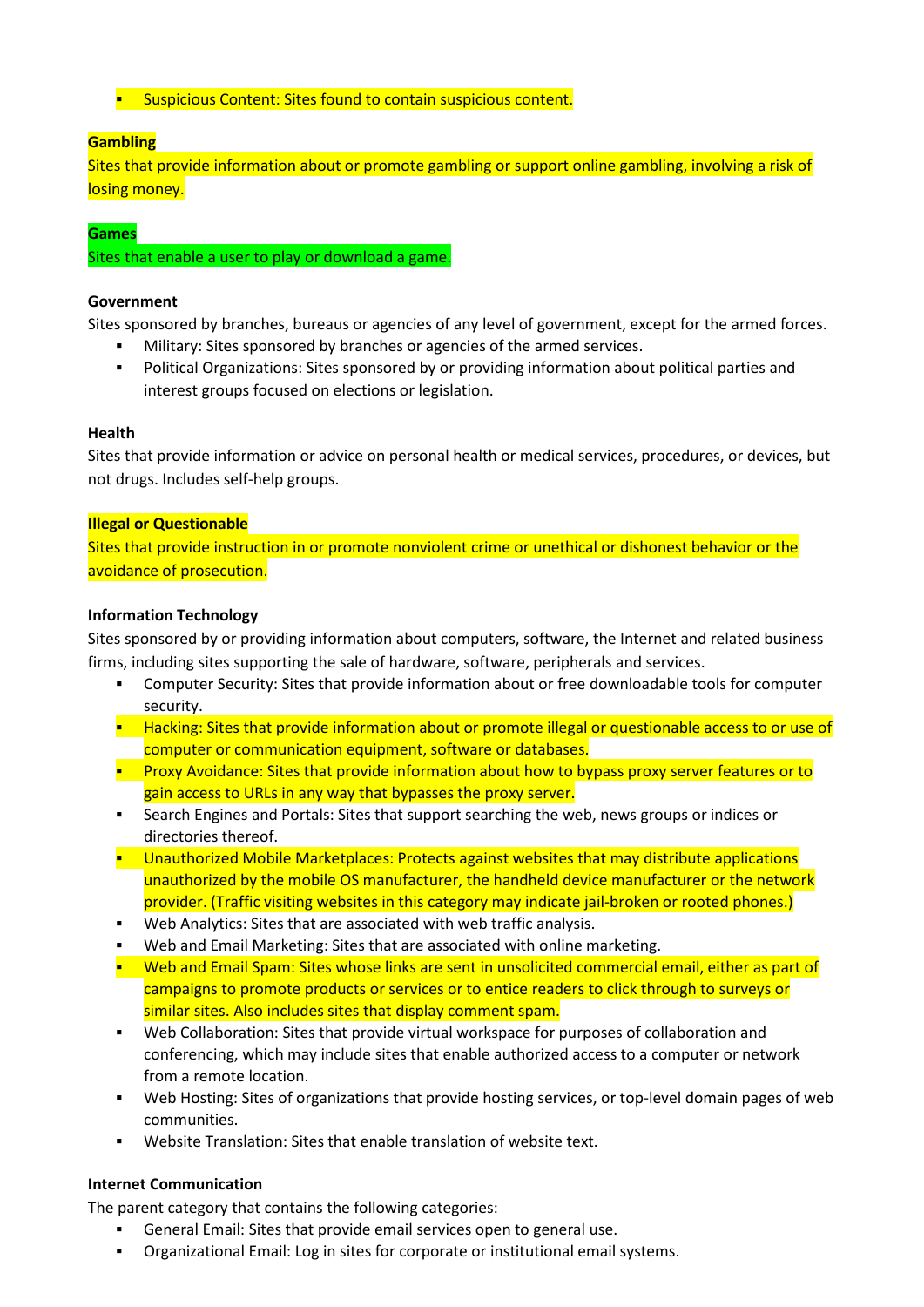**Suspicious Content: Sites found to contain suspicious content.** 

## **Gambling**

Sites that provide information about or promote gambling or support online gambling, involving a risk of losing money.

## **Games**

Sites that enable a user to play or download a game.

#### **Government**

Sites sponsored by branches, bureaus or agencies of any level of government, except for the armed forces.

- Military: Sites sponsored by branches or agencies of the armed services.
- Political Organizations: Sites sponsored by or providing information about political parties and interest groups focused on elections or legislation.

## **Health**

Sites that provide information or advice on personal health or medical services, procedures, or devices, but not drugs. Includes self-help groups.

## **Illegal or Questionable**

Sites that provide instruction in or promote nonviolent crime or unethical or dishonest behavior or the avoidance of prosecution.

## **Information Technology**

Sites sponsored by or providing information about computers, software, the Internet and related business firms, including sites supporting the sale of hardware, software, peripherals and services.

- Computer Security: Sites that provide information about or free downloadable tools for computer security.
- **Hacking: Sites that provide information about or promote illegal or questionable access to or use of** computer or communication equipment, software or databases.
- **Proxy Avoidance: Sites that provide information about how to bypass proxy server features or to** gain access to URLs in any way that bypasses the proxy server.
- Search Engines and Portals: Sites that support searching the web, news groups or indices or directories thereof.
- Unauthorized Mobile Marketplaces: Protects against websites that may distribute applications unauthorized by the mobile OS manufacturer, the handheld device manufacturer or the network provider. (Traffic visiting websites in this category may indicate jail-broken or rooted phones.)
- Web Analytics: Sites that are associated with web traffic analysis.
- Web and Email Marketing: Sites that are associated with online marketing.
- Web and Email Spam: Sites whose links are sent in unsolicited commercial email, either as part of campaigns to promote products or services or to entice readers to click through to surveys or similar sites. Also includes sites that display comment spam.
- Web Collaboration: Sites that provide virtual workspace for purposes of collaboration and conferencing, which may include sites that enable authorized access to a computer or network from a remote location.
- Web Hosting: Sites of organizations that provide hosting services, or top-level domain pages of web communities.
- Website Translation: Sites that enable translation of website text.

#### **Internet Communication**

The parent category that contains the following categories:

- General Email: Sites that provide email services open to general use.
- Organizational Email: Log in sites for corporate or institutional email systems.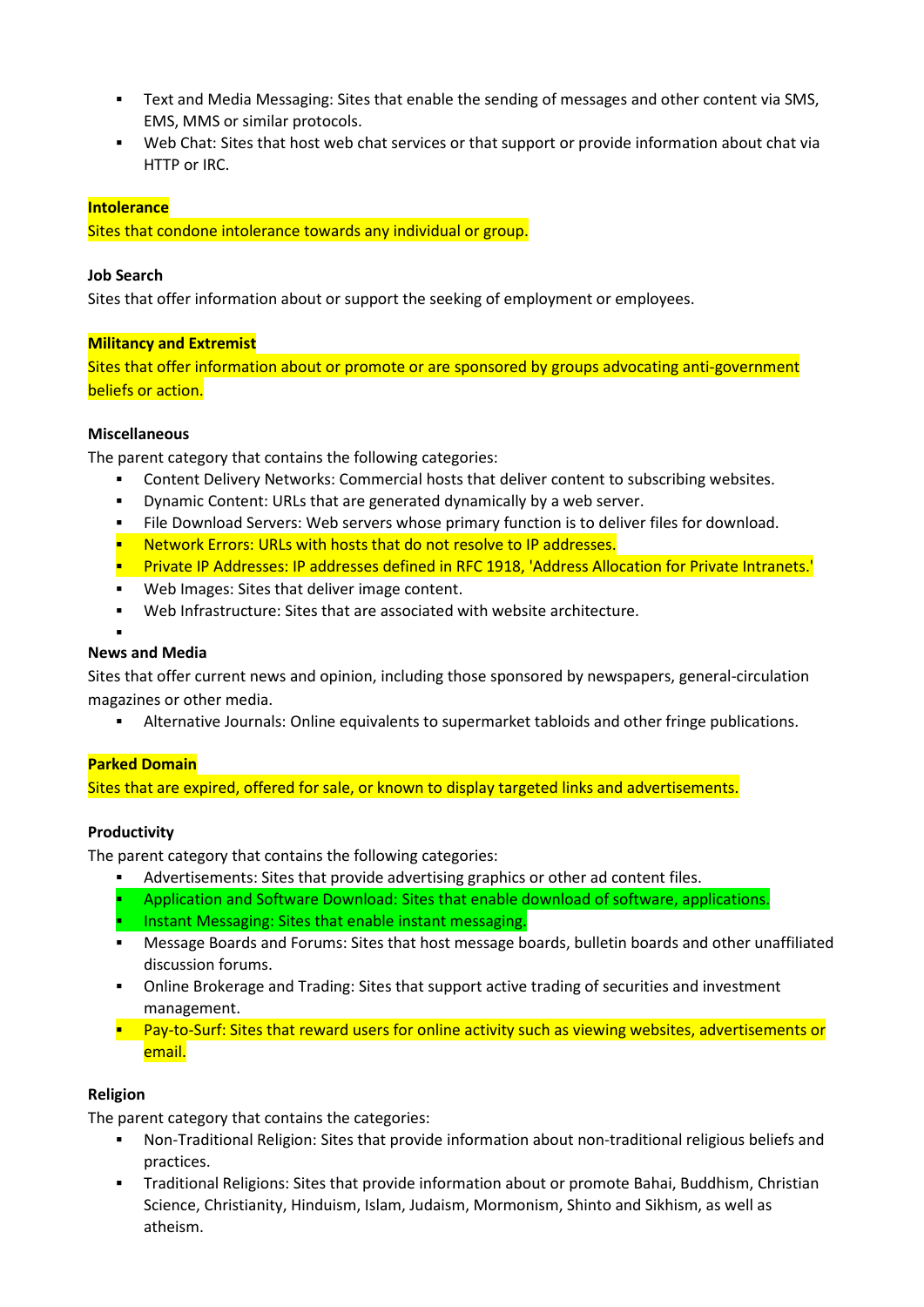- Text and Media Messaging: Sites that enable the sending of messages and other content via SMS, EMS, MMS or similar protocols.
- Web Chat: Sites that host web chat services or that support or provide information about chat via HTTP or IRC.

## **Intolerance**

Sites that condone intolerance towards any individual or group.

## **Job Search**

Sites that offer information about or support the seeking of employment or employees.

## **Militancy and Extremist**

Sites that offer information about or promote or are sponsored by groups advocating anti-government beliefs or action.

## **Miscellaneous**

The parent category that contains the following categories:

- Content Delivery Networks: Commercial hosts that deliver content to subscribing websites.
- Dynamic Content: URLs that are generated dynamically by a web server.
- File Download Servers: Web servers whose primary function is to deliver files for download.
- **Network Errors: URLs with hosts that do not resolve to IP addresses.**
- Private IP Addresses: IP addresses defined in RFC 1918, 'Address Allocation for Private Intranets.'
- Web Images: Sites that deliver image content.
- Web Infrastructure: Sites that are associated with website architecture.
- .

#### **News and Media**

Sites that offer current news and opinion, including those sponsored by newspapers, general-circulation magazines or other media.

Alternative Journals: Online equivalents to supermarket tabloids and other fringe publications.

#### **Parked Domain**

Sites that are expired, offered for sale, or known to display targeted links and advertisements.

## **Productivity**

The parent category that contains the following categories:

- Advertisements: Sites that provide advertising graphics or other ad content files.
- Application and Software Download: Sites that enable download of software, applications.
- Instant Messaging: Sites that enable instant messaging.
- Message Boards and Forums: Sites that host message boards, bulletin boards and other unaffiliated discussion forums.
- Online Brokerage and Trading: Sites that support active trading of securities and investment management.
- **Pay-to-Surf: Sites that reward users for online activity such as viewing websites, advertisements or** email.

## **Religion**

The parent category that contains the categories:

- Non-Traditional Religion: Sites that provide information about non-traditional religious beliefs and practices.
- Traditional Religions: Sites that provide information about or promote Bahai, Buddhism, Christian Science, Christianity, Hinduism, Islam, Judaism, Mormonism, Shinto and Sikhism, as well as atheism.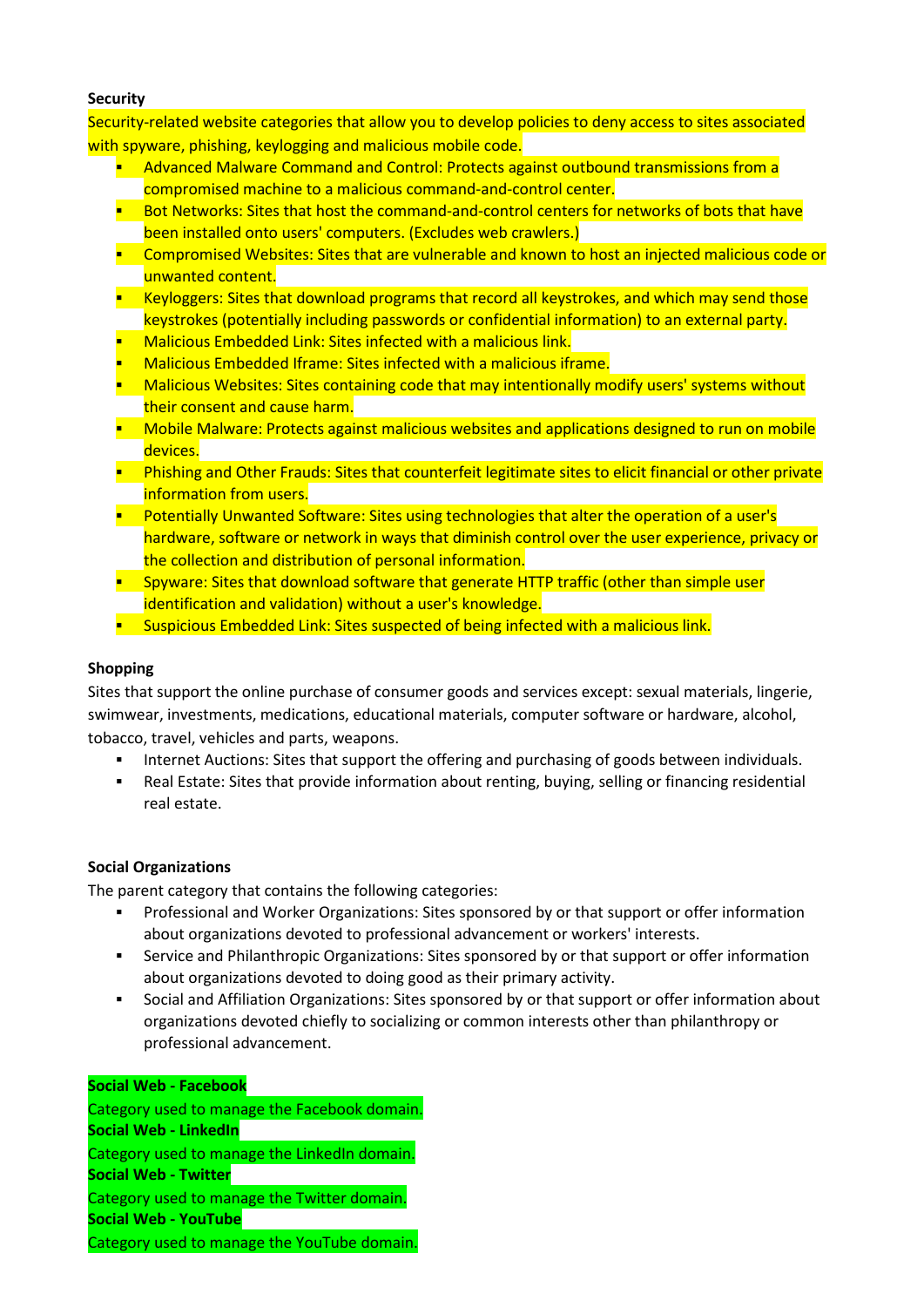#### **Security**

Security-related website categories that allow you to develop policies to deny access to sites associated with spyware, phishing, keylogging and malicious mobile code.

- Advanced Malware Command and Control: Protects against outbound transmissions from a compromised machine to a malicious command-and-control center.
- Bot Networks: Sites that host the command-and-control centers for networks of bots that have been installed onto users' computers. (Excludes web crawlers.)
- **E** Compromised Websites: Sites that are vulnerable and known to host an injected malicious code or unwanted content.
- E Keyloggers: Sites that download programs that record all keystrokes, and which may send those keystrokes (potentially including passwords or confidential information) to an external party.
- **EXECT** Malicious Embedded Link: Sites infected with a malicious link.
- **Malicious Embedded Iframe: Sites infected with a malicious iframe.**
- Malicious Websites: Sites containing code that may intentionally modify users' systems without their consent and cause harm.
- **Mobile Malware: Protects against malicious websites and applications designed to run on mobile** devices.
- **Phishing and Other Frauds: Sites that counterfeit legitimate sites to elicit financial or other private** information from users.
- Potentially Unwanted Software: Sites using technologies that alter the operation of a user's hardware, software or network in ways that diminish control over the user experience, privacy or the collection and distribution of personal information.
- **Spyware: Sites that download software that generate HTTP traffic (other than simple user** identification and validation) without a user's knowledge.
- **Suspicious Embedded Link: Sites suspected of being infected with a malicious link.**

## **Shopping**

Sites that support the online purchase of consumer goods and services except: sexual materials, lingerie, swimwear, investments, medications, educational materials, computer software or hardware, alcohol, tobacco, travel, vehicles and parts, weapons.

- **Internet Auctions: Sites that support the offering and purchasing of goods between individuals.**
- Real Estate: Sites that provide information about renting, buying, selling or financing residential real estate.

## **Social Organizations**

The parent category that contains the following categories:

- Professional and Worker Organizations: Sites sponsored by or that support or offer information about organizations devoted to professional advancement or workers' interests.
- Service and Philanthropic Organizations: Sites sponsored by or that support or offer information about organizations devoted to doing good as their primary activity.
- Social and Affiliation Organizations: Sites sponsored by or that support or offer information about organizations devoted chiefly to socializing or common interests other than philanthropy or professional advancement.

## **Social Web - Facebook**

Category used to manage the Facebook domain. **Social Web - LinkedIn** Category used to manage the LinkedIn domain. **Social Web - Twitter** Category used to manage the Twitter domain. **Social Web - YouTube** Category used to manage the YouTube domain.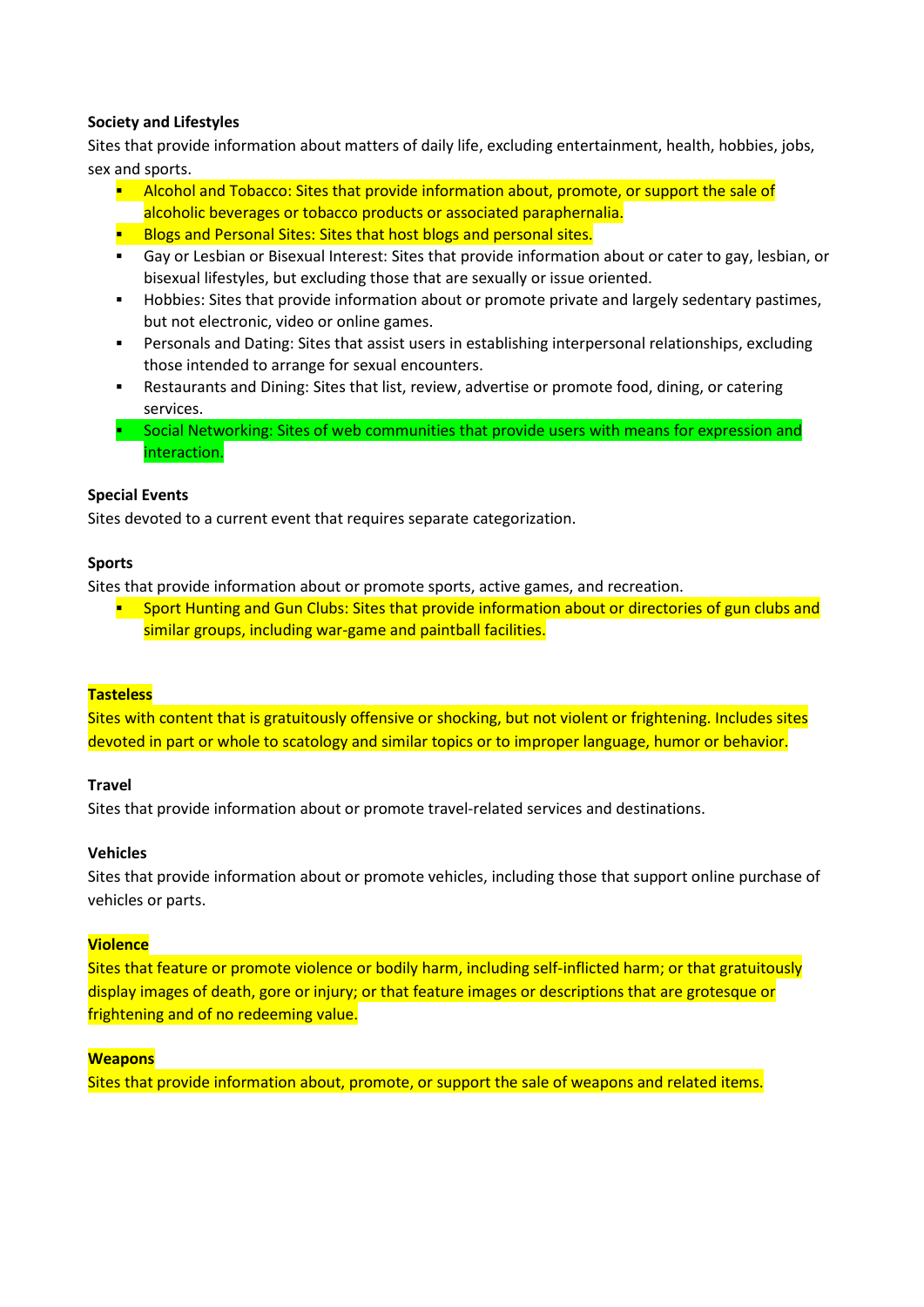## **Society and Lifestyles**

Sites that provide information about matters of daily life, excluding entertainment, health, hobbies, jobs, sex and sports.

- **Alcohol and Tobacco: Sites that provide information about, promote, or support the sale of** alcoholic beverages or tobacco products or associated paraphernalia.
- **Blogs and Personal Sites: Sites that host blogs and personal sites.**
- Gay or Lesbian or Bisexual Interest: Sites that provide information about or cater to gay, lesbian, or bisexual lifestyles, but excluding those that are sexually or issue oriented.
- Hobbies: Sites that provide information about or promote private and largely sedentary pastimes, but not electronic, video or online games.
- Personals and Dating: Sites that assist users in establishing interpersonal relationships, excluding those intended to arrange for sexual encounters.
- Restaurants and Dining: Sites that list, review, advertise or promote food, dining, or catering services.
- Social Networking: Sites of web communities that provide users with means for expression and interaction.

## **Special Events**

Sites devoted to a current event that requires separate categorization.

#### **Sports**

Sites that provide information about or promote sports, active games, and recreation.

**Sport Hunting and Gun Clubs: Sites that provide information about or directories of gun clubs and** similar groups, including war-game and paintball facilities.

#### **Tasteless**

Sites with content that is gratuitously offensive or shocking, but not violent or frightening. Includes sites devoted in part or whole to scatology and similar topics or to improper language, humor or behavior.

#### **Travel**

Sites that provide information about or promote travel-related services and destinations.

#### **Vehicles**

Sites that provide information about or promote vehicles, including those that support online purchase of vehicles or parts.

#### **Violence**

Sites that feature or promote violence or bodily harm, including self-inflicted harm; or that gratuitously display images of death, gore or injury; or that feature images or descriptions that are grotesque or frightening and of no redeeming value.

#### **Weapons**

Sites that provide information about, promote, or support the sale of weapons and related items.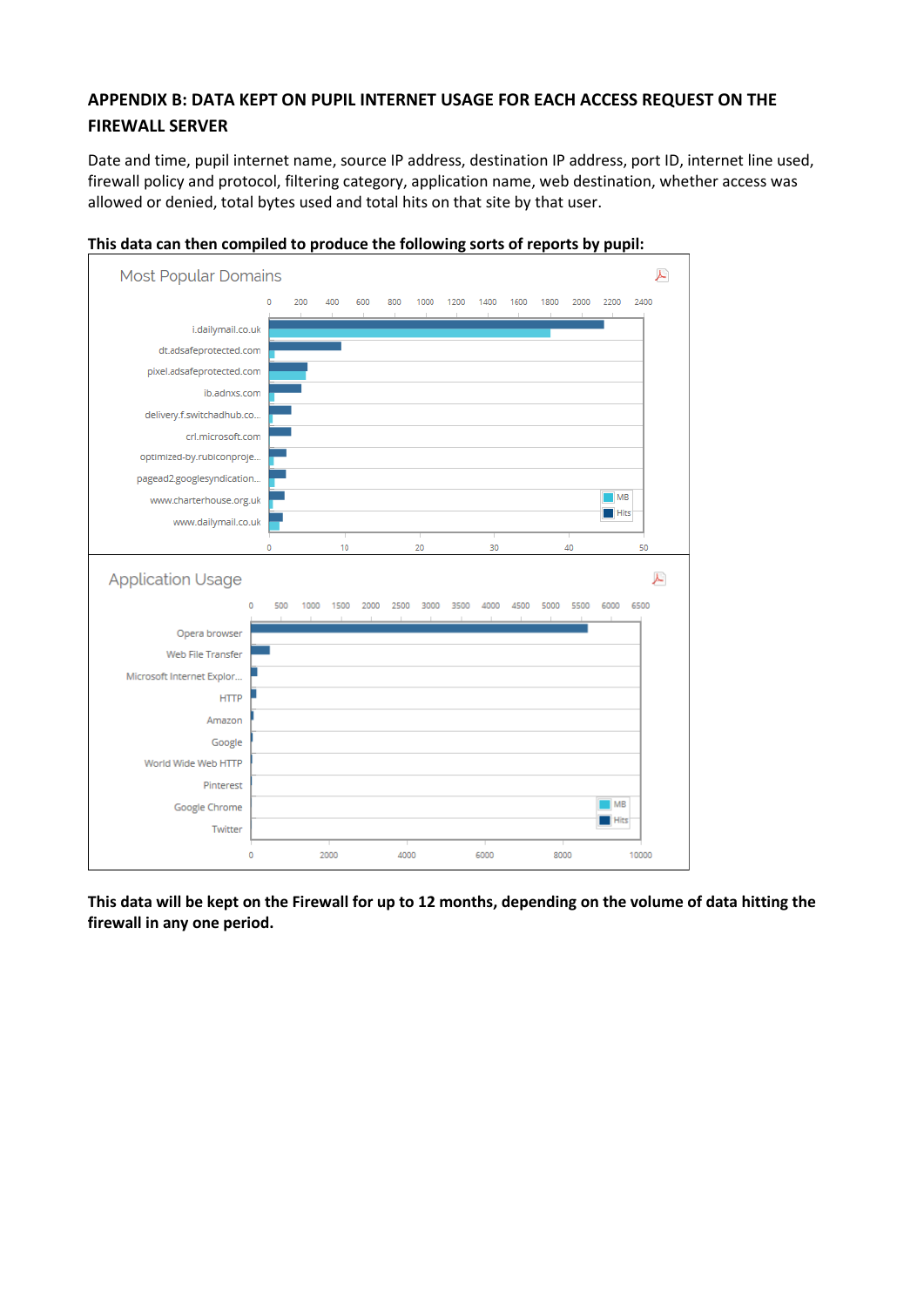# **APPENDIX B: DATA KEPT ON PUPIL INTERNET USAGE FOR EACH ACCESS REQUEST ON THE FIREWALL SERVER**

Date and time, pupil internet name, source IP address, destination IP address, port ID, internet line used, firewall policy and protocol, filtering category, application name, web destination, whether access was allowed or denied, total bytes used and total hits on that site by that user.



## **This data can then compiled to produce the following sorts of reports by pupil:**

**This data will be kept on the Firewall for up to 12 months, depending on the volume of data hitting the firewall in any one period.**